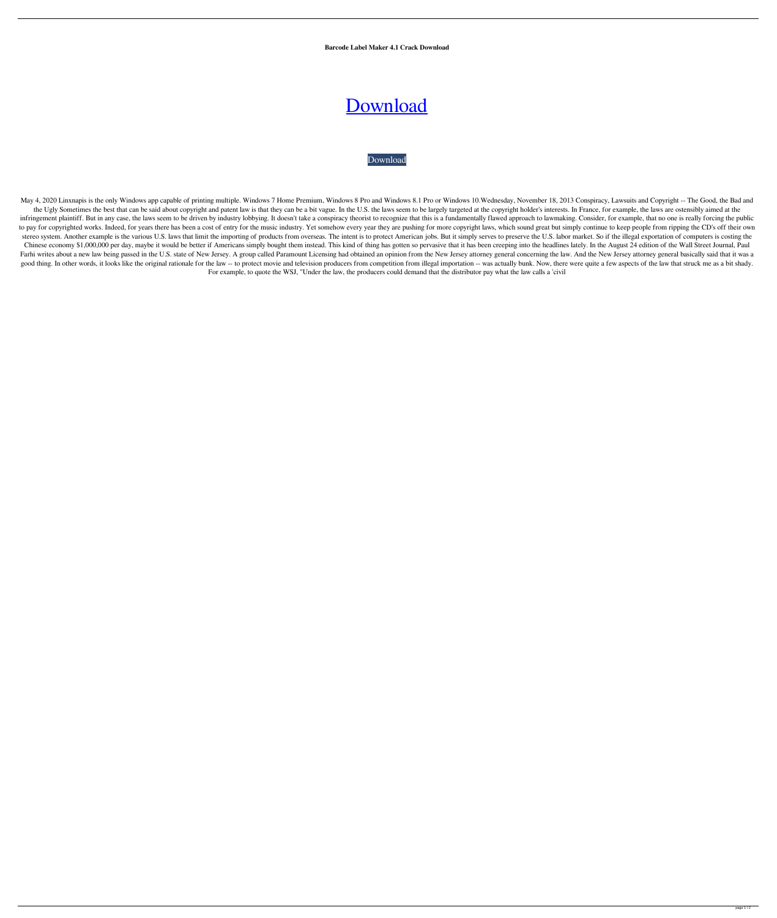**Barcode Label Maker 4.1 Crack Download**

## [Download](http://evacdir.com/anorectics.aqmd/imposingly/magdeburg/YmFyY29kZSBsYWJlbCBtYWtlciA0LjEgY3JhY2sgZG93bmxvYWQYmF/mapquest.strayer?ZG93bmxvYWR8ZmI4YVhOamZId3hOalV5TnpRd09EWTJmSHd5TlRjMGZId29UU2tnY21WaFpDMWliRzluSUZ0R1lYTjBJRWRGVGww=antiquing)

## [Download](http://evacdir.com/anorectics.aqmd/imposingly/magdeburg/YmFyY29kZSBsYWJlbCBtYWtlciA0LjEgY3JhY2sgZG93bmxvYWQYmF/mapquest.strayer?ZG93bmxvYWR8ZmI4YVhOamZId3hOalV5TnpRd09EWTJmSHd5TlRjMGZId29UU2tnY21WaFpDMWliRzluSUZ0R1lYTjBJRWRGVGww=antiquing)

May 4, 2020 Linxnapis is the only Windows app capable of printing multiple. Windows 7 Home Premium, Windows 8 Pro and Windows 8.1 Pro or Windows 10. Wednesday, November 18, 2013 Conspiracy, Lawsuits and Copyright -- The Go the Ugly Sometimes the best that can be said about copyright and patent law is that they can be a bit vague. In the U.S. the laws seem to be largely targeted at the copyright holder's interests. In France, for example, the infringement plaintiff. But in any case, the laws seem to be driven by industry lobbying. It doesn't take a conspiracy theorist to recognize that this is a fundamentally flawed approach to lawmaking. Consider, for example, to pay for copyrighted works. Indeed, for years there has been a cost of entry for the music industry. Yet somehow every year they are pushing for more copyright laws, which sound great but simply continue to keep people f stereo system. Another example is the various U.S. laws that limit the importing of products from overseas. The intent is to protect American jobs. But it simply serves to preserve the U.S. labor market. So if the illegal Chinese economy \$1,000,000 per day, maybe it would be better if Americans simply bought them instead. This kind of thing has gotten so pervasive that it has been creeping into the headlines lately. In the August 24 edition Farhi writes about a new law being passed in the U.S. state of New Jersey. A group called Paramount Licensing had obtained an opinion from the New Jersey attorney general basically said that it was a good thing. In other words, it looks like the original rationale for the law -- to protect movie and television producers from competition from illegal importation -- was actually bunk. Now, there were quite a few aspects For example, to quote the WSJ, "Under the law, the producers could demand that the distributor pay what the law calls a 'civil